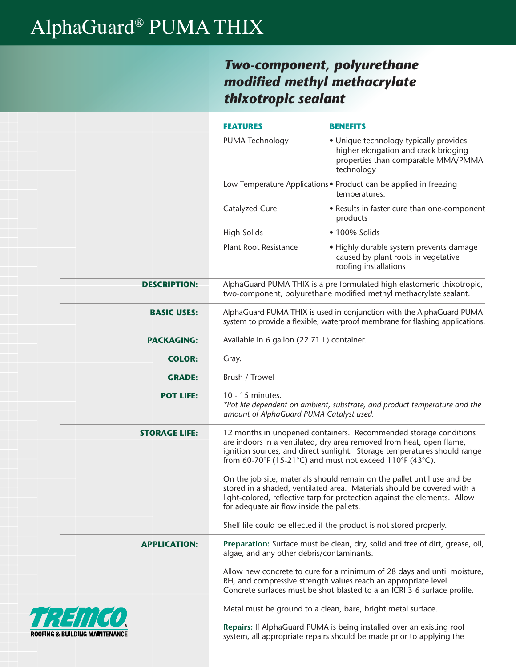## AlphaGuard® PUMA THIX

**ROOFING** 

### *Two-component, polyurethane modified methyl methacrylate thixotropic sealant*

|                        |                      | <b>FEATURES</b>                                                                                                                                      | <b>BENEFITS</b>                                                                                                                                                                                                                                                                                                                                                                                                                                                                                                     |  |  |  |  |  |
|------------------------|----------------------|------------------------------------------------------------------------------------------------------------------------------------------------------|---------------------------------------------------------------------------------------------------------------------------------------------------------------------------------------------------------------------------------------------------------------------------------------------------------------------------------------------------------------------------------------------------------------------------------------------------------------------------------------------------------------------|--|--|--|--|--|
|                        |                      | PUMA Technology                                                                                                                                      | • Unique technology typically provides<br>higher elongation and crack bridging<br>properties than comparable MMA/PMMA<br>technology                                                                                                                                                                                                                                                                                                                                                                                 |  |  |  |  |  |
|                        |                      |                                                                                                                                                      | Low Temperature Applications . Product can be applied in freezing<br>temperatures.                                                                                                                                                                                                                                                                                                                                                                                                                                  |  |  |  |  |  |
|                        |                      | Catalyzed Cure                                                                                                                                       | • Results in faster cure than one-component<br>products                                                                                                                                                                                                                                                                                                                                                                                                                                                             |  |  |  |  |  |
|                        |                      | <b>High Solids</b>                                                                                                                                   | • 100% Solids                                                                                                                                                                                                                                                                                                                                                                                                                                                                                                       |  |  |  |  |  |
|                        |                      | <b>Plant Root Resistance</b>                                                                                                                         | • Highly durable system prevents damage<br>caused by plant roots in vegetative<br>roofing installations                                                                                                                                                                                                                                                                                                                                                                                                             |  |  |  |  |  |
|                        | <b>DESCRIPTION:</b>  |                                                                                                                                                      | AlphaGuard PUMA THIX is a pre-formulated high elastomeric thixotropic,<br>two-component, polyurethane modified methyl methacrylate sealant.                                                                                                                                                                                                                                                                                                                                                                         |  |  |  |  |  |
|                        | <b>BASIC USES:</b>   | AlphaGuard PUMA THIX is used in conjunction with the AlphaGuard PUMA<br>system to provide a flexible, waterproof membrane for flashing applications. |                                                                                                                                                                                                                                                                                                                                                                                                                                                                                                                     |  |  |  |  |  |
|                        | <b>PACKAGING:</b>    | Available in 6 gallon (22.71 L) container.                                                                                                           |                                                                                                                                                                                                                                                                                                                                                                                                                                                                                                                     |  |  |  |  |  |
|                        | <b>COLOR:</b>        | Gray.                                                                                                                                                |                                                                                                                                                                                                                                                                                                                                                                                                                                                                                                                     |  |  |  |  |  |
|                        | <b>GRADE:</b>        | Brush / Trowel                                                                                                                                       |                                                                                                                                                                                                                                                                                                                                                                                                                                                                                                                     |  |  |  |  |  |
|                        | <b>POT LIFE:</b>     | 10 - 15 minutes.<br>amount of AlphaGuard PUMA Catalyst used.                                                                                         | *Pot life dependent on ambient, substrate, and product temperature and the                                                                                                                                                                                                                                                                                                                                                                                                                                          |  |  |  |  |  |
|                        | <b>STORAGE LIFE:</b> |                                                                                                                                                      | 12 months in unopened containers. Recommended storage conditions<br>are indoors in a ventilated, dry area removed from heat, open flame,<br>ignition sources, and direct sunlight. Storage temperatures should range<br>from 60-70°F (15-21°C) and must not exceed 110°F (43°C).<br>On the job site, materials should remain on the pallet until use and be<br>stored in a shaded, ventilated area. Materials should be covered with a<br>light-colored, reflective tarp for protection against the elements. Allow |  |  |  |  |  |
|                        |                      | for adequate air flow inside the pallets.                                                                                                            | Shelf life could be effected if the product is not stored properly.                                                                                                                                                                                                                                                                                                                                                                                                                                                 |  |  |  |  |  |
|                        | <b>APPLICATION:</b>  | algae, and any other debris/contaminants.                                                                                                            | Preparation: Surface must be clean, dry, solid and free of dirt, grease, oil,                                                                                                                                                                                                                                                                                                                                                                                                                                       |  |  |  |  |  |
|                        |                      |                                                                                                                                                      | Allow new concrete to cure for a minimum of 28 days and until moisture,<br>RH, and compressive strength values reach an appropriate level.<br>Concrete surfaces must be shot-blasted to a an ICRI 3-6 surface profile.                                                                                                                                                                                                                                                                                              |  |  |  |  |  |
| FEITTEN                |                      |                                                                                                                                                      | Metal must be ground to a clean, bare, bright metal surface.                                                                                                                                                                                                                                                                                                                                                                                                                                                        |  |  |  |  |  |
| & BUILDING MAINTENANCE |                      |                                                                                                                                                      | Repairs: If AlphaGuard PUMA is being installed over an existing roof<br>system, all appropriate repairs should be made prior to applying the                                                                                                                                                                                                                                                                                                                                                                        |  |  |  |  |  |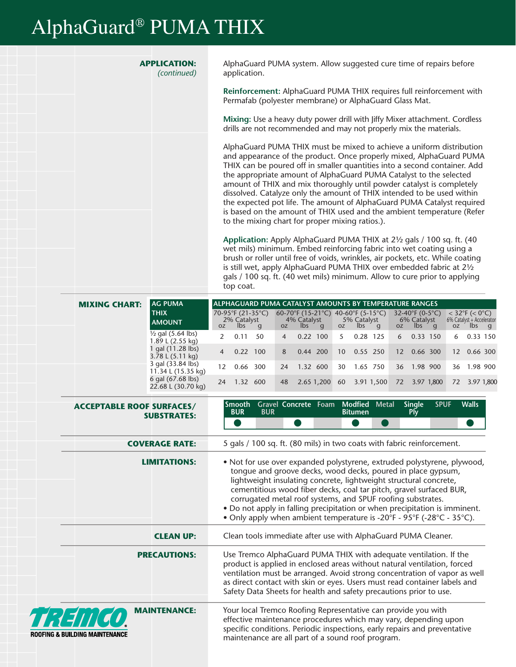# AlphaGuard® PUMA THIX

**ROOFIN** 

|  | <b>APPLICATION:</b><br>(continued) | AlphaGuard PUMA system. Allow suggested cure time of repairs before<br>application.                                                                                                                                                                                                             |  |  |  |  |  |  |
|--|------------------------------------|-------------------------------------------------------------------------------------------------------------------------------------------------------------------------------------------------------------------------------------------------------------------------------------------------|--|--|--|--|--|--|
|  |                                    | Reinforcement: AlphaGuard PUMA THIX requires full reinforcement with<br>Permafab (polyester membrane) or AlphaGuard Glass Mat.                                                                                                                                                                  |  |  |  |  |  |  |
|  |                                    | Mixing: Use a heavy duty power drill with Jiffy Mixer attachment. Cordless<br>drills are not recommended and may not properly mix the materials.                                                                                                                                                |  |  |  |  |  |  |
|  |                                    | AlphaGuard PUMA THIX must be mixed to achieve a uniform distribution<br>and appearance of the product. Once properly mixed, AlphaGuard PUMA<br>THIX can be poured off in smaller quantities into a second container. Add                                                                        |  |  |  |  |  |  |
|  |                                    | the appropriate amount of AlphaGuard PUMA Catalyst to the selected<br>amount of THIX and mix thoroughly until powder catalyst is completely<br>dissolved. Catalyze only the amount of THIX intended to be used within<br>the expected pot life. The amount of AlphaGuard PUMA Catalyst required |  |  |  |  |  |  |
|  |                                    | is based on the amount of THIX used and the ambient temperature (Refer<br>to the mixing chart for proper mixing ratios.).                                                                                                                                                                       |  |  |  |  |  |  |
|  |                                    | Application: Apply AlphaGuard PUMA THIX at 21/2 gals / 100 sq. ft. (40<br>wet mils) minimum. Embed reinforcing fabric into wet coating using a<br>brush or roller until free of voids, wrinkles, air pockets, etc. While coating                                                                |  |  |  |  |  |  |

| <b>MIXING CHART:</b> | <b>AG PUMA</b>                                   |                 | ALPHAGUARD PUMA CATALYST AMOUNTS BY TEMPERATURE RANGES |     |                |                                                                      |   |                 |                                                                     |   |                   |                                       |              |                 |                                                         |              |
|----------------------|--------------------------------------------------|-----------------|--------------------------------------------------------|-----|----------------|----------------------------------------------------------------------|---|-----------------|---------------------------------------------------------------------|---|-------------------|---------------------------------------|--------------|-----------------|---------------------------------------------------------|--------------|
|                      | <b>THIX</b><br><b>AMOUNT</b>                     | <b>OZ</b>       | 70-95°F (21-35°C)<br>2% Catalyst<br>lbs.               | q   | <b>OZ</b>      | 60-70°F (15-21°C)<br>4% Catalyst<br>$\mathsf{I}\mathsf{b}\mathsf{s}$ | q | OZ              | 40-60°F (5-15°C)<br>5% Catalyst<br>$\mathsf{I}\mathsf{b}\mathsf{s}$ | q | OZ.               | 32-40°F (0-5°C)<br>6% Catalyst<br>lbs | $\mathbf{q}$ | OZ.             | $<$ 32°F ( $<$ 0°C)<br>6% Catalyst + Accelerator<br>lbs | <sub>q</sub> |
|                      | $\frac{1}{2}$ gal (5.64 lbs)<br>1.89 L (2.55 kg) | $\mathcal{P}$   | 0.11                                                   | 50  | $\overline{4}$ | $0.22$ 100                                                           |   | 5               | 0.28 125                                                            |   | 6                 | 0.33                                  | 150          | 6               | 0.33 150                                                |              |
|                      | 1 gal (11.28 lbs)<br>3.78 L (5.11 kg)            | $\overline{4}$  | 0.22                                                   | 100 | 8              | 0.44 200                                                             |   | 10 <sup>°</sup> | 0.55 250                                                            |   | $12 \overline{ }$ | 0.66 300                              |              | 12 <sup>°</sup> | 0.66 300                                                |              |
|                      | 3 gal (33.84 lbs)<br>11.34 L (15.35 kg)          | 12 <sup>7</sup> | 0.66                                                   | 300 | 24             | 1.32 600                                                             |   | 30              | 1.65 750                                                            |   | 36                | 1.98 900                              |              | 36              | 1.98 900                                                |              |
|                      | 6 gal (67.68 lbs)<br>22.68 L (30.70 kg)          | 24              | 1.32                                                   | 600 | 48             | 2.65 1,200                                                           |   | 60              | 3.91 1,500                                                          |   | 72                | 3.97 1,800                            |              | 72              | 3.97 1.800                                              |              |

top coat.

is still wet, apply AlphaGuard PUMA THIX over embedded fabric at 2½ gals / 100 sq. ft. (40 wet mils) minimum. Allow to cure prior to applying

| <b>ACCEPTABLE ROOF SURFACES/</b><br><b>SUBSTRATES:</b>   | Gravel Concrete Foam Modfied Metal<br><b>Single</b><br><b>Walls</b><br>Smooth<br><b>SPUF</b><br><b>BUR</b><br><b>BUR</b><br><b>Bitumen</b><br><b>Ply</b>                                                                                                                                                                                                                                                                                                                                                  |  |  |  |  |  |
|----------------------------------------------------------|-----------------------------------------------------------------------------------------------------------------------------------------------------------------------------------------------------------------------------------------------------------------------------------------------------------------------------------------------------------------------------------------------------------------------------------------------------------------------------------------------------------|--|--|--|--|--|
| <b>COVERAGE RATE:</b>                                    | 5 gals / 100 sq. ft. (80 mils) in two coats with fabric reinforcement.                                                                                                                                                                                                                                                                                                                                                                                                                                    |  |  |  |  |  |
| <b>LIMITATIONS:</b>                                      | . Not for use over expanded polystyrene, extruded polystyrene, plywood,<br>tongue and groove decks, wood decks, poured in place gypsum,<br>lightweight insulating concrete, lightweight structural concrete,<br>cementitious wood fiber decks, coal tar pitch, gravel surfaced BUR,<br>corrugated metal roof systems, and SPUF roofing substrates.<br>• Do not apply in falling precipitation or when precipitation is imminent.<br>• Only apply when ambient temperature is -20°F - 95°F (-28°C - 35°C). |  |  |  |  |  |
| <b>CLEAN UP:</b>                                         | Clean tools immediate after use with AlphaGuard PUMA Cleaner.                                                                                                                                                                                                                                                                                                                                                                                                                                             |  |  |  |  |  |
| <b>PRECAUTIONS:</b>                                      | Use Tremco AlphaGuard PUMA THIX with adequate ventilation. If the<br>product is applied in enclosed areas without natural ventilation, forced<br>ventilation must be arranged. Avoid strong concentration of vapor as well<br>as direct contact with skin or eyes. Users must read container labels and<br>Safety Data Sheets for health and safety precautions prior to use.                                                                                                                             |  |  |  |  |  |
| <b>MAINTENANCE:</b><br>:/#//<br>G & BUILDING MAINTENANCE | Your local Tremco Roofing Representative can provide you with<br>effective maintenance procedures which may vary, depending upon<br>specific conditions. Periodic inspections, early repairs and preventative<br>maintenance are all part of a sound roof program.                                                                                                                                                                                                                                        |  |  |  |  |  |